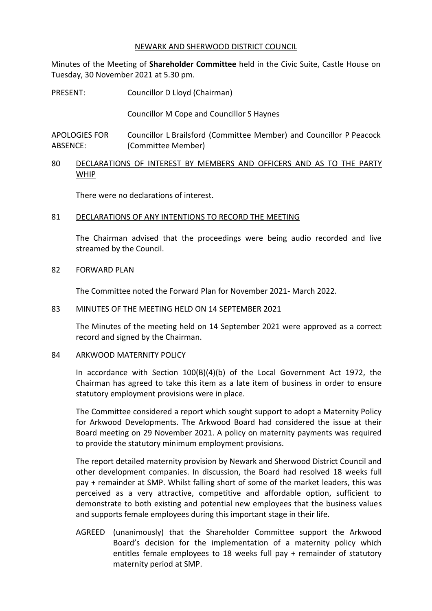### NEWARK AND SHERWOOD DISTRICT COUNCIL

Minutes of the Meeting of **Shareholder Committee** held in the Civic Suite, Castle House on Tuesday, 30 November 2021 at 5.30 pm.

PRESENT: Councillor D Lloyd (Chairman)

Councillor M Cope and Councillor S Haynes

APOLOGIES FOR ABSENCE: Councillor L Brailsford (Committee Member) and Councillor P Peacock (Committee Member)

80 DECLARATIONS OF INTEREST BY MEMBERS AND OFFICERS AND AS TO THE PARTY WHIP

There were no declarations of interest.

# 81 DECLARATIONS OF ANY INTENTIONS TO RECORD THE MEETING

The Chairman advised that the proceedings were being audio recorded and live streamed by the Council.

# 82 FORWARD PLAN

The Committee noted the Forward Plan for November 2021- March 2022.

# 83 MINUTES OF THE MEETING HELD ON 14 SEPTEMBER 2021

The Minutes of the meeting held on 14 September 2021 were approved as a correct record and signed by the Chairman.

# 84 ARKWOOD MATERNITY POLICY

In accordance with Section 100(B)(4)(b) of the Local Government Act 1972, the Chairman has agreed to take this item as a late item of business in order to ensure statutory employment provisions were in place.

The Committee considered a report which sought support to adopt a Maternity Policy for Arkwood Developments. The Arkwood Board had considered the issue at their Board meeting on 29 November 2021. A policy on maternity payments was required to provide the statutory minimum employment provisions.

The report detailed maternity provision by Newark and Sherwood District Council and other development companies. In discussion, the Board had resolved 18 weeks full pay + remainder at SMP. Whilst falling short of some of the market leaders, this was perceived as a very attractive, competitive and affordable option, sufficient to demonstrate to both existing and potential new employees that the business values and supports female employees during this important stage in their life.

AGREED (unanimously) that the Shareholder Committee support the Arkwood Board's decision for the implementation of a maternity policy which entitles female employees to 18 weeks full pay + remainder of statutory maternity period at SMP.